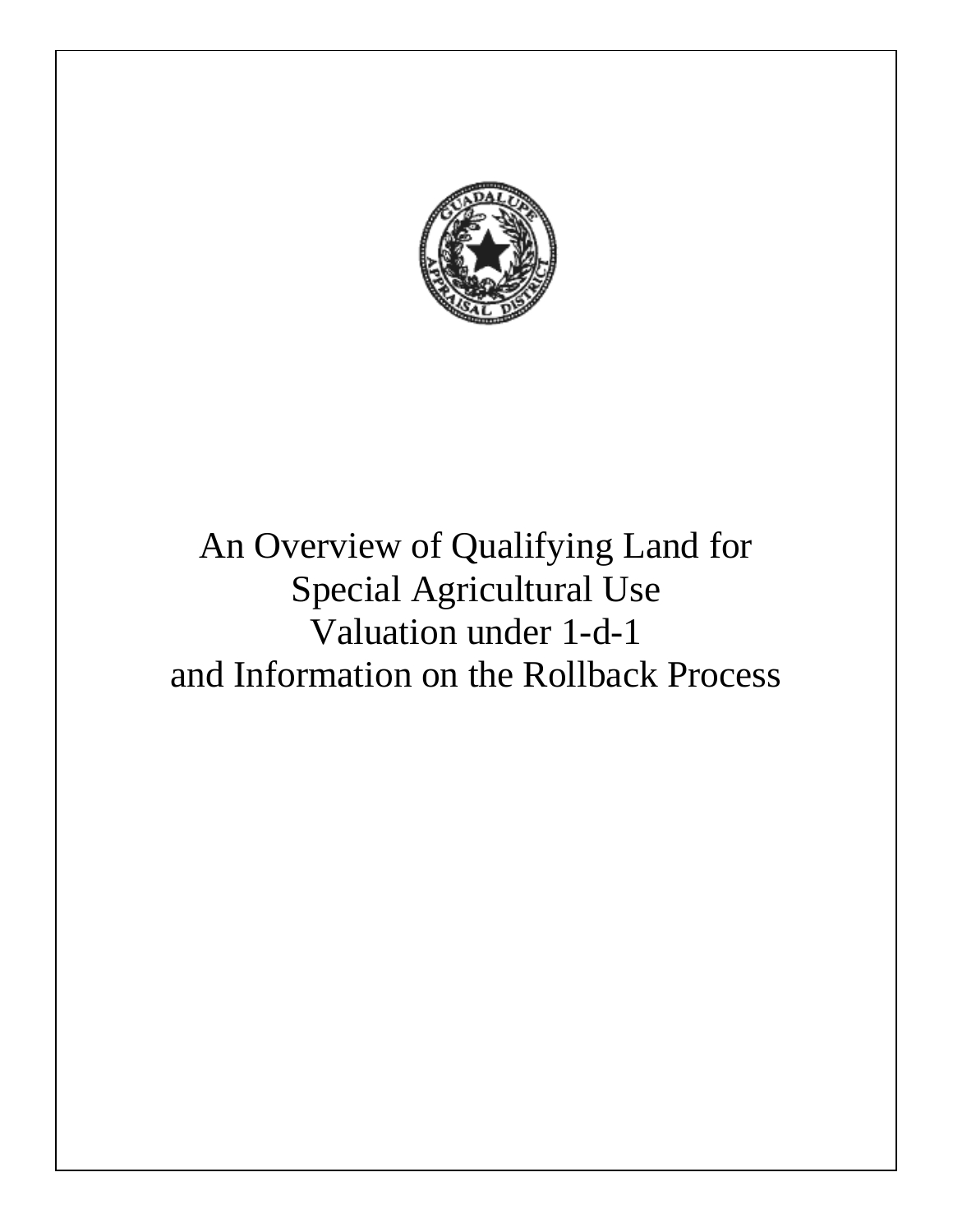

# An Overview of Qualifying Land for Special Agricultural Use Valuation under 1-d-1 and Information on the Rollback Process

<u>.</u>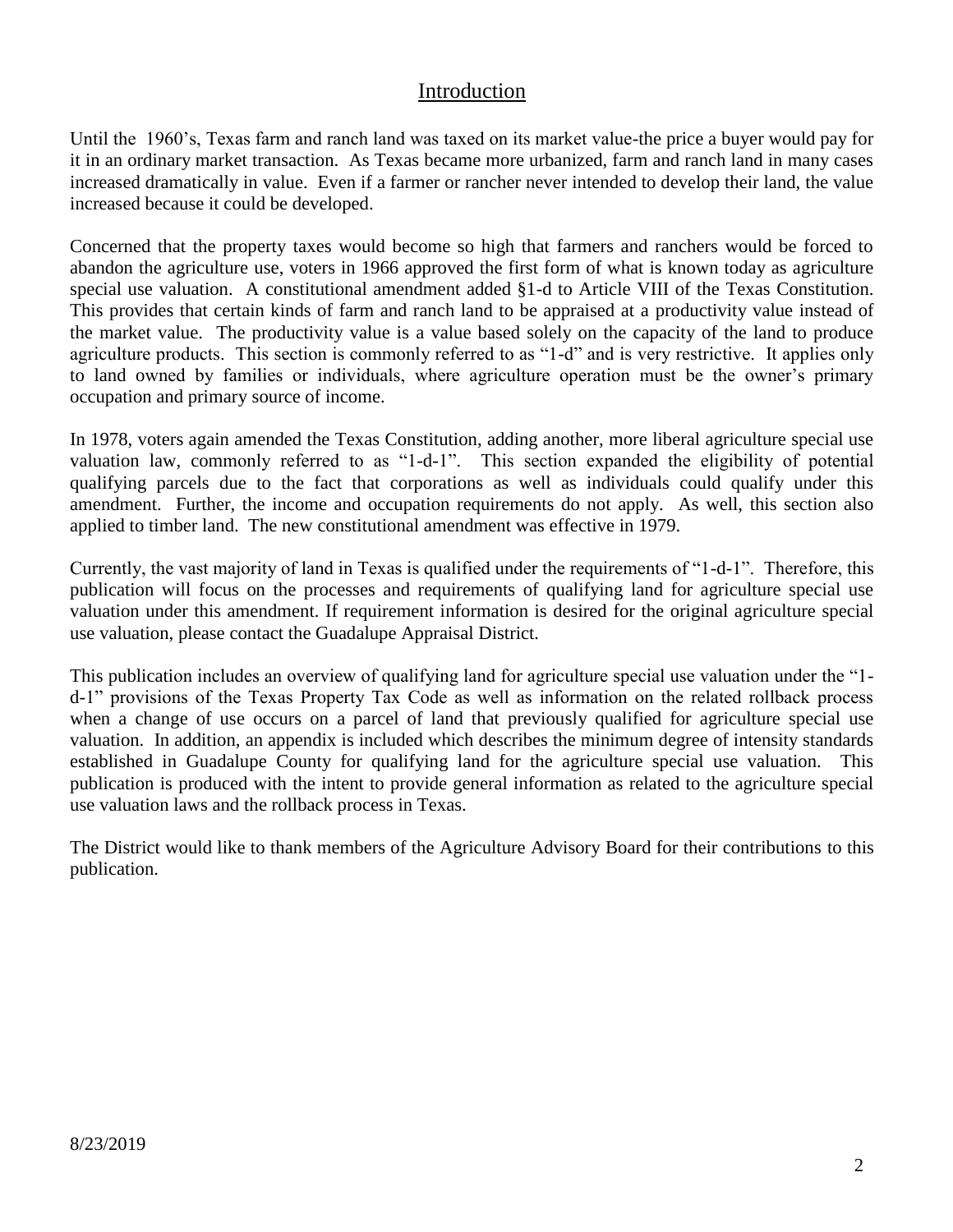# Introduction

Until the 1960's, Texas farm and ranch land was taxed on its market value-the price a buyer would pay for it in an ordinary market transaction. As Texas became more urbanized, farm and ranch land in many cases increased dramatically in value. Even if a farmer or rancher never intended to develop their land, the value increased because it could be developed.

Concerned that the property taxes would become so high that farmers and ranchers would be forced to abandon the agriculture use, voters in 1966 approved the first form of what is known today as agriculture special use valuation. A constitutional amendment added §1-d to Article VIII of the Texas Constitution. This provides that certain kinds of farm and ranch land to be appraised at a productivity value instead of the market value. The productivity value is a value based solely on the capacity of the land to produce agriculture products. This section is commonly referred to as "1-d" and is very restrictive. It applies only to land owned by families or individuals, where agriculture operation must be the owner's primary occupation and primary source of income.

In 1978, voters again amended the Texas Constitution, adding another, more liberal agriculture special use valuation law, commonly referred to as "1-d-1". This section expanded the eligibility of potential qualifying parcels due to the fact that corporations as well as individuals could qualify under this amendment. Further, the income and occupation requirements do not apply. As well, this section also applied to timber land. The new constitutional amendment was effective in 1979.

Currently, the vast majority of land in Texas is qualified under the requirements of "1-d-1". Therefore, this publication will focus on the processes and requirements of qualifying land for agriculture special use valuation under this amendment. If requirement information is desired for the original agriculture special use valuation, please contact the Guadalupe Appraisal District.

This publication includes an overview of qualifying land for agriculture special use valuation under the "1 d-1" provisions of the Texas Property Tax Code as well as information on the related rollback process when a change of use occurs on a parcel of land that previously qualified for agriculture special use valuation. In addition, an appendix is included which describes the minimum degree of intensity standards established in Guadalupe County for qualifying land for the agriculture special use valuation. This publication is produced with the intent to provide general information as related to the agriculture special use valuation laws and the rollback process in Texas.

The District would like to thank members of the Agriculture Advisory Board for their contributions to this publication.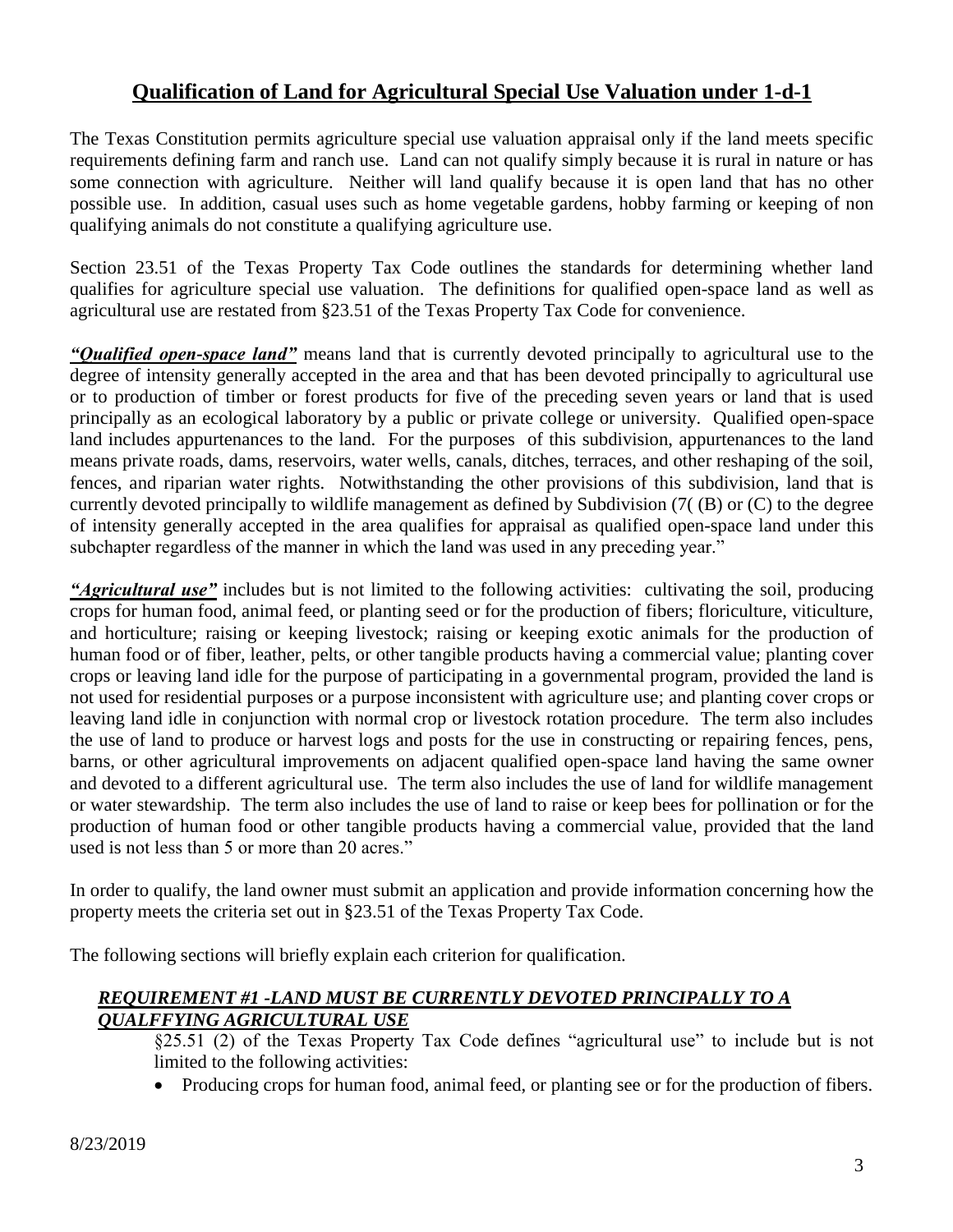# **Qualification of Land for Agricultural Special Use Valuation under 1-d-1**

The Texas Constitution permits agriculture special use valuation appraisal only if the land meets specific requirements defining farm and ranch use. Land can not qualify simply because it is rural in nature or has some connection with agriculture. Neither will land qualify because it is open land that has no other possible use. In addition, casual uses such as home vegetable gardens, hobby farming or keeping of non qualifying animals do not constitute a qualifying agriculture use.

Section 23.51 of the Texas Property Tax Code outlines the standards for determining whether land qualifies for agriculture special use valuation. The definitions for qualified open-space land as well as agricultural use are restated from §23.51 of the Texas Property Tax Code for convenience.

*"Qualified open-space land"* means land that is currently devoted principally to agricultural use to the degree of intensity generally accepted in the area and that has been devoted principally to agricultural use or to production of timber or forest products for five of the preceding seven years or land that is used principally as an ecological laboratory by a public or private college or university. Qualified open-space land includes appurtenances to the land. For the purposes of this subdivision, appurtenances to the land means private roads, dams, reservoirs, water wells, canals, ditches, terraces, and other reshaping of the soil, fences, and riparian water rights. Notwithstanding the other provisions of this subdivision, land that is currently devoted principally to wildlife management as defined by Subdivision (7( (B) or (C) to the degree of intensity generally accepted in the area qualifies for appraisal as qualified open-space land under this subchapter regardless of the manner in which the land was used in any preceding year."

*"Agricultural use"* includes but is not limited to the following activities: cultivating the soil, producing crops for human food, animal feed, or planting seed or for the production of fibers; floriculture, viticulture, and horticulture; raising or keeping livestock; raising or keeping exotic animals for the production of human food or of fiber, leather, pelts, or other tangible products having a commercial value; planting cover crops or leaving land idle for the purpose of participating in a governmental program, provided the land is not used for residential purposes or a purpose inconsistent with agriculture use; and planting cover crops or leaving land idle in conjunction with normal crop or livestock rotation procedure. The term also includes the use of land to produce or harvest logs and posts for the use in constructing or repairing fences, pens, barns, or other agricultural improvements on adjacent qualified open-space land having the same owner and devoted to a different agricultural use. The term also includes the use of land for wildlife management or water stewardship. The term also includes the use of land to raise or keep bees for pollination or for the production of human food or other tangible products having a commercial value, provided that the land used is not less than 5 or more than 20 acres."

In order to qualify, the land owner must submit an application and provide information concerning how the property meets the criteria set out in §23.51 of the Texas Property Tax Code.

The following sections will briefly explain each criterion for qualification.

#### *REQUIREMENT #1 -LAND MUST BE CURRENTLY DEVOTED PRINCIPALLY TO A QUALFFYING AGRICULTURAL USE*

§25.51 (2) of the Texas Property Tax Code defines "agricultural use" to include but is not limited to the following activities:

• Producing crops for human food, animal feed, or planting see or for the production of fibers.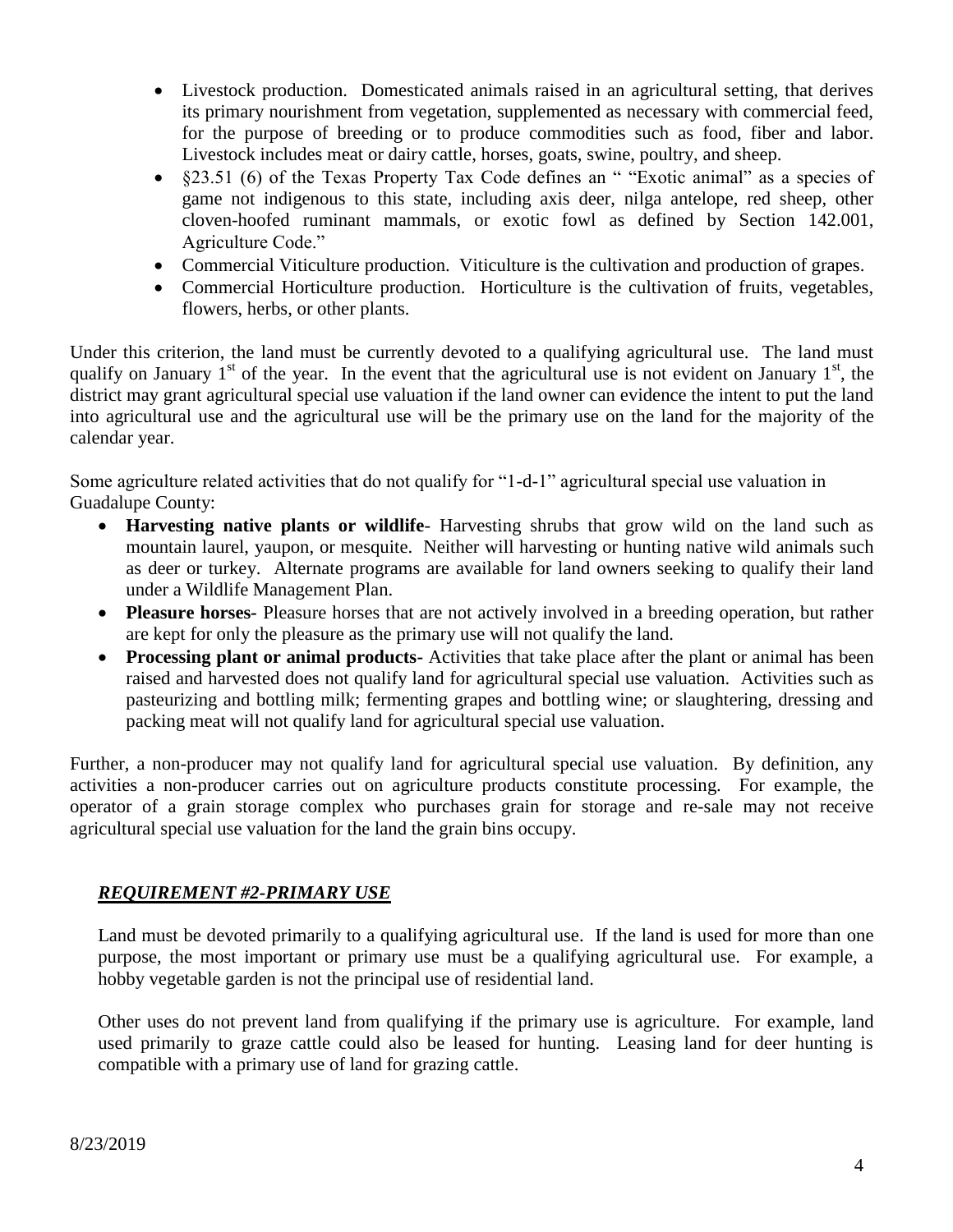- Livestock production. Domesticated animals raised in an agricultural setting, that derives its primary nourishment from vegetation, supplemented as necessary with commercial feed, for the purpose of breeding or to produce commodities such as food, fiber and labor. Livestock includes meat or dairy cattle, horses, goats, swine, poultry, and sheep.
- §23.51 (6) of the Texas Property Tax Code defines an " "Exotic animal" as a species of game not indigenous to this state, including axis deer, nilga antelope, red sheep, other cloven-hoofed ruminant mammals, or exotic fowl as defined by Section 142.001, Agriculture Code."
- Commercial Viticulture production. Viticulture is the cultivation and production of grapes.
- Commercial Horticulture production. Horticulture is the cultivation of fruits, vegetables, flowers, herbs, or other plants.

Under this criterion, the land must be currently devoted to a qualifying agricultural use. The land must qualify on January  $1<sup>st</sup>$  of the year. In the event that the agricultural use is not evident on January  $1<sup>st</sup>$ , the district may grant agricultural special use valuation if the land owner can evidence the intent to put the land into agricultural use and the agricultural use will be the primary use on the land for the majority of the calendar year.

Some agriculture related activities that do not qualify for "1-d-1" agricultural special use valuation in Guadalupe County:

- **Harvesting native plants or wildlife** Harvesting shrubs that grow wild on the land such as mountain laurel, yaupon, or mesquite. Neither will harvesting or hunting native wild animals such as deer or turkey. Alternate programs are available for land owners seeking to qualify their land under a Wildlife Management Plan.
- **Pleasure horses***-* Pleasure horses that are not actively involved in a breeding operation, but rather are kept for only the pleasure as the primary use will not qualify the land.
- **Processing plant or animal products-** Activities that take place after the plant or animal has been raised and harvested does not qualify land for agricultural special use valuation. Activities such as pasteurizing and bottling milk; fermenting grapes and bottling wine; or slaughtering, dressing and packing meat will not qualify land for agricultural special use valuation.

Further, a non-producer may not qualify land for agricultural special use valuation. By definition, any activities a non-producer carries out on agriculture products constitute processing. For example, the operator of a grain storage complex who purchases grain for storage and re-sale may not receive agricultural special use valuation for the land the grain bins occupy.

#### *REQUIREMENT #2-PRIMARY USE*

Land must be devoted primarily to a qualifying agricultural use. If the land is used for more than one purpose, the most important or primary use must be a qualifying agricultural use. For example, a hobby vegetable garden is not the principal use of residential land.

Other uses do not prevent land from qualifying if the primary use is agriculture. For example, land used primarily to graze cattle could also be leased for hunting. Leasing land for deer hunting is compatible with a primary use of land for grazing cattle.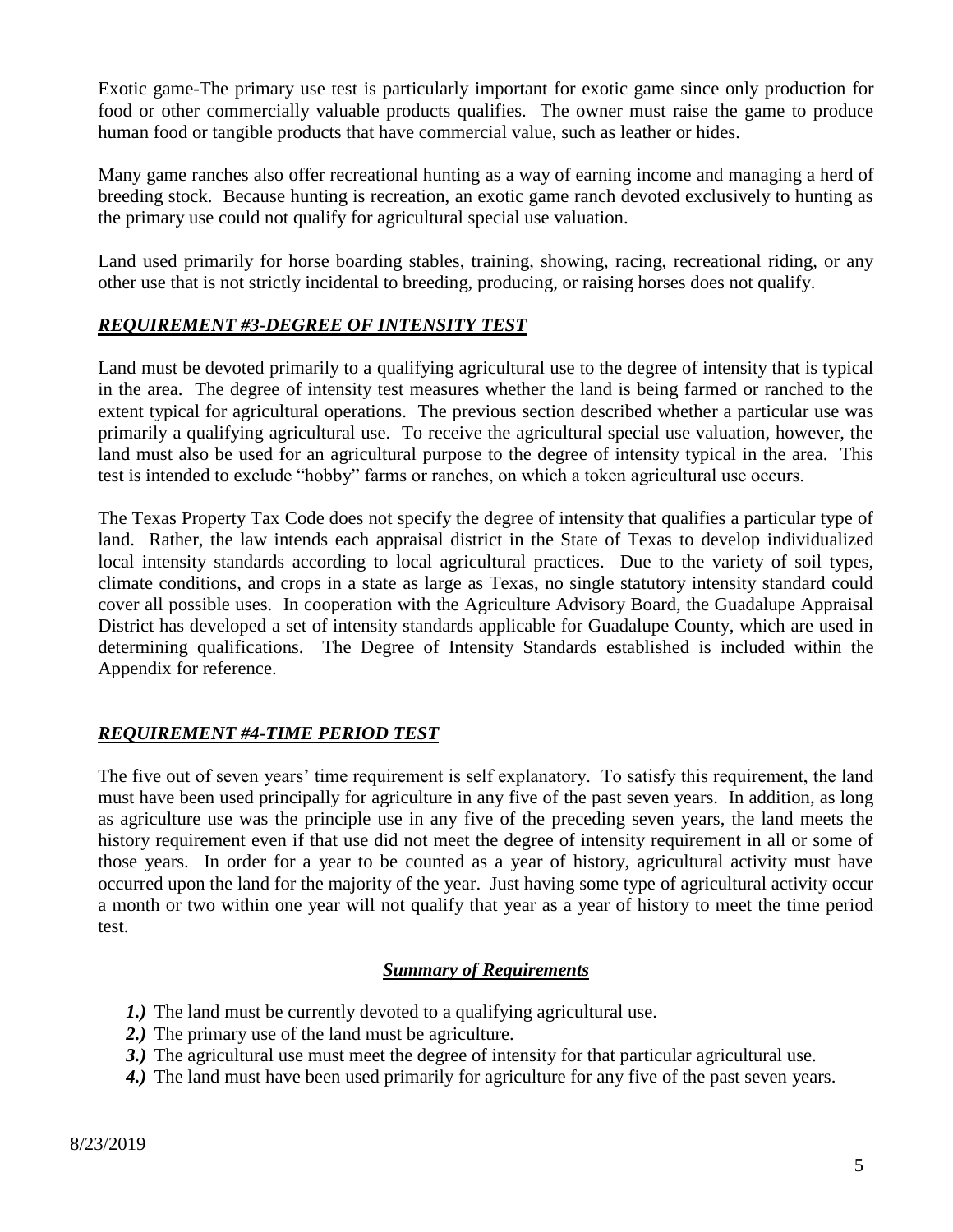Exotic game-The primary use test is particularly important for exotic game since only production for food or other commercially valuable products qualifies. The owner must raise the game to produce human food or tangible products that have commercial value, such as leather or hides.

Many game ranches also offer recreational hunting as a way of earning income and managing a herd of breeding stock. Because hunting is recreation, an exotic game ranch devoted exclusively to hunting as the primary use could not qualify for agricultural special use valuation.

Land used primarily for horse boarding stables, training, showing, racing, recreational riding, or any other use that is not strictly incidental to breeding, producing, or raising horses does not qualify.

# *REQUIREMENT #3-DEGREE OF INTENSITY TEST*

Land must be devoted primarily to a qualifying agricultural use to the degree of intensity that is typical in the area. The degree of intensity test measures whether the land is being farmed or ranched to the extent typical for agricultural operations. The previous section described whether a particular use was primarily a qualifying agricultural use. To receive the agricultural special use valuation, however, the land must also be used for an agricultural purpose to the degree of intensity typical in the area. This test is intended to exclude "hobby" farms or ranches, on which a token agricultural use occurs.

The Texas Property Tax Code does not specify the degree of intensity that qualifies a particular type of land. Rather, the law intends each appraisal district in the State of Texas to develop individualized local intensity standards according to local agricultural practices. Due to the variety of soil types, climate conditions, and crops in a state as large as Texas, no single statutory intensity standard could cover all possible uses. In cooperation with the Agriculture Advisory Board, the Guadalupe Appraisal District has developed a set of intensity standards applicable for Guadalupe County, which are used in determining qualifications. The Degree of Intensity Standards established is included within the Appendix for reference.

# *REQUIREMENT #4-TIME PERIOD TEST*

The five out of seven years' time requirement is self explanatory. To satisfy this requirement, the land must have been used principally for agriculture in any five of the past seven years. In addition, as long as agriculture use was the principle use in any five of the preceding seven years, the land meets the history requirement even if that use did not meet the degree of intensity requirement in all or some of those years. In order for a year to be counted as a year of history, agricultural activity must have occurred upon the land for the majority of the year. Just having some type of agricultural activity occur a month or two within one year will not qualify that year as a year of history to meet the time period test.

#### *Summary of Requirements*

- *1.*) The land must be currently devoted to a qualifying agricultural use.
- *2.)* The primary use of the land must be agriculture.
- *3.)* The agricultural use must meet the degree of intensity for that particular agricultural use.
- *4.)* The land must have been used primarily for agriculture for any five of the past seven years.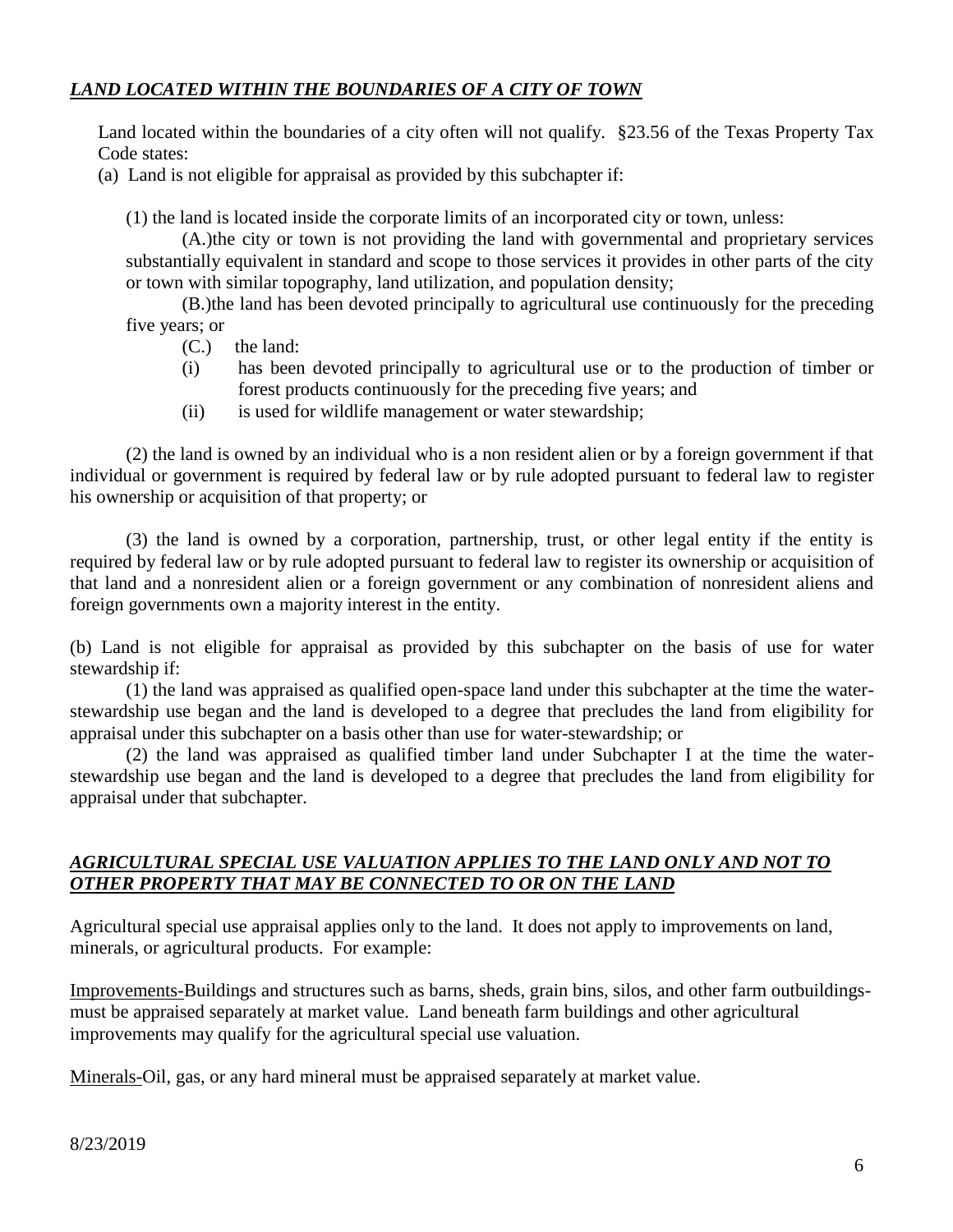# *LAND LOCATED WITHIN THE BOUNDARIES OF A CITY OF TOWN*

Land located within the boundaries of a city often will not qualify. §23.56 of the Texas Property Tax Code states:

(a) Land is not eligible for appraisal as provided by this subchapter if:

(1) the land is located inside the corporate limits of an incorporated city or town, unless:

(A.)the city or town is not providing the land with governmental and proprietary services substantially equivalent in standard and scope to those services it provides in other parts of the city or town with similar topography, land utilization, and population density;

(B.)the land has been devoted principally to agricultural use continuously for the preceding five years; or

- (C.) the land:
- (i) has been devoted principally to agricultural use or to the production of timber or forest products continuously for the preceding five years; and
- (ii) is used for wildlife management or water stewardship;

(2) the land is owned by an individual who is a non resident alien or by a foreign government if that individual or government is required by federal law or by rule adopted pursuant to federal law to register his ownership or acquisition of that property; or

(3) the land is owned by a corporation, partnership, trust, or other legal entity if the entity is required by federal law or by rule adopted pursuant to federal law to register its ownership or acquisition of that land and a nonresident alien or a foreign government or any combination of nonresident aliens and foreign governments own a majority interest in the entity.

(b) Land is not eligible for appraisal as provided by this subchapter on the basis of use for water stewardship if:

(1) the land was appraised as qualified open-space land under this subchapter at the time the waterstewardship use began and the land is developed to a degree that precludes the land from eligibility for appraisal under this subchapter on a basis other than use for water-stewardship; or

(2) the land was appraised as qualified timber land under Subchapter I at the time the waterstewardship use began and the land is developed to a degree that precludes the land from eligibility for appraisal under that subchapter.

### *AGRICULTURAL SPECIAL USE VALUATION APPLIES TO THE LAND ONLY AND NOT TO OTHER PROPERTY THAT MAY BE CONNECTED TO OR ON THE LAND*

Agricultural special use appraisal applies only to the land. It does not apply to improvements on land, minerals, or agricultural products. For example:

Improvements-Buildings and structures such as barns, sheds, grain bins, silos, and other farm outbuildingsmust be appraised separately at market value. Land beneath farm buildings and other agricultural improvements may qualify for the agricultural special use valuation.

Minerals-Oil, gas, or any hard mineral must be appraised separately at market value.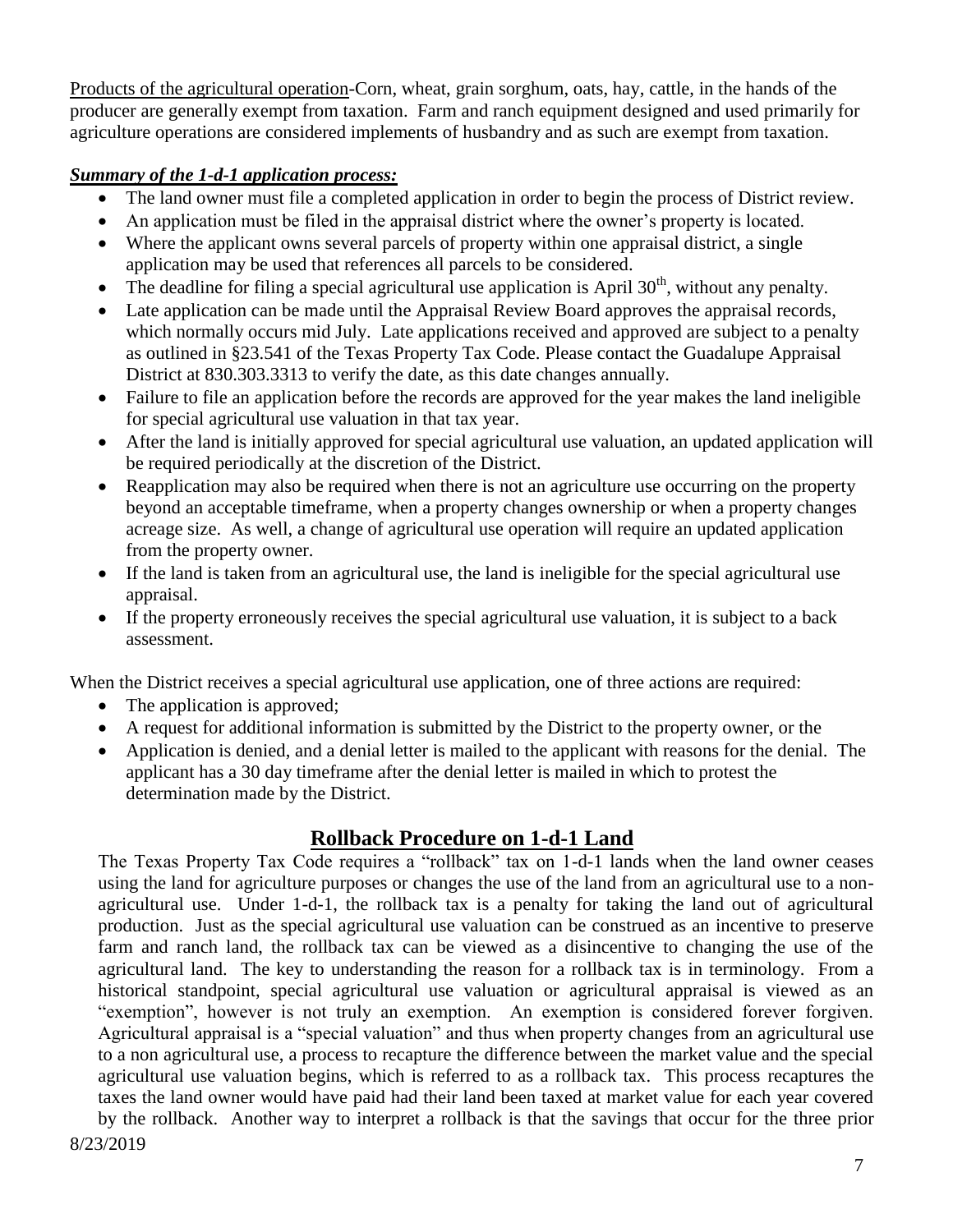Products of the agricultural operation-Corn, wheat, grain sorghum, oats, hay, cattle, in the hands of the producer are generally exempt from taxation. Farm and ranch equipment designed and used primarily for agriculture operations are considered implements of husbandry and as such are exempt from taxation.

## *Summary of the 1-d-1 application process:*

- The land owner must file a completed application in order to begin the process of District review.
- An application must be filed in the appraisal district where the owner's property is located.
- Where the applicant owns several parcels of property within one appraisal district, a single application may be used that references all parcels to be considered.
- The deadline for filing a special agricultural use application is April  $30<sup>th</sup>$ , without any penalty.
- Late application can be made until the Appraisal Review Board approves the appraisal records, which normally occurs mid July. Late applications received and approved are subject to a penalty as outlined in §23.541 of the Texas Property Tax Code. Please contact the Guadalupe Appraisal District at 830.303.3313 to verify the date, as this date changes annually.
- Failure to file an application before the records are approved for the year makes the land ineligible for special agricultural use valuation in that tax year.
- After the land is initially approved for special agricultural use valuation, an updated application will be required periodically at the discretion of the District.
- Reapplication may also be required when there is not an agriculture use occurring on the property beyond an acceptable timeframe, when a property changes ownership or when a property changes acreage size. As well, a change of agricultural use operation will require an updated application from the property owner.
- If the land is taken from an agricultural use, the land is ineligible for the special agricultural use appraisal.
- If the property erroneously receives the special agricultural use valuation, it is subject to a back assessment.

When the District receives a special agricultural use application, one of three actions are required:

- The application is approved;
- A request for additional information is submitted by the District to the property owner, or the
- Application is denied, and a denial letter is mailed to the applicant with reasons for the denial. The applicant has a 30 day timeframe after the denial letter is mailed in which to protest the determination made by the District.

# **Rollback Procedure on 1-d-1 Land**

The Texas Property Tax Code requires a "rollback" tax on 1-d-1 lands when the land owner ceases using the land for agriculture purposes or changes the use of the land from an agricultural use to a nonagricultural use. Under 1-d-1, the rollback tax is a penalty for taking the land out of agricultural production. Just as the special agricultural use valuation can be construed as an incentive to preserve farm and ranch land, the rollback tax can be viewed as a disincentive to changing the use of the agricultural land. The key to understanding the reason for a rollback tax is in terminology. From a historical standpoint, special agricultural use valuation or agricultural appraisal is viewed as an "exemption", however is not truly an exemption. An exemption is considered forever forgiven. Agricultural appraisal is a "special valuation" and thus when property changes from an agricultural use to a non agricultural use, a process to recapture the difference between the market value and the special agricultural use valuation begins, which is referred to as a rollback tax. This process recaptures the taxes the land owner would have paid had their land been taxed at market value for each year covered by the rollback. Another way to interpret a rollback is that the savings that occur for the three prior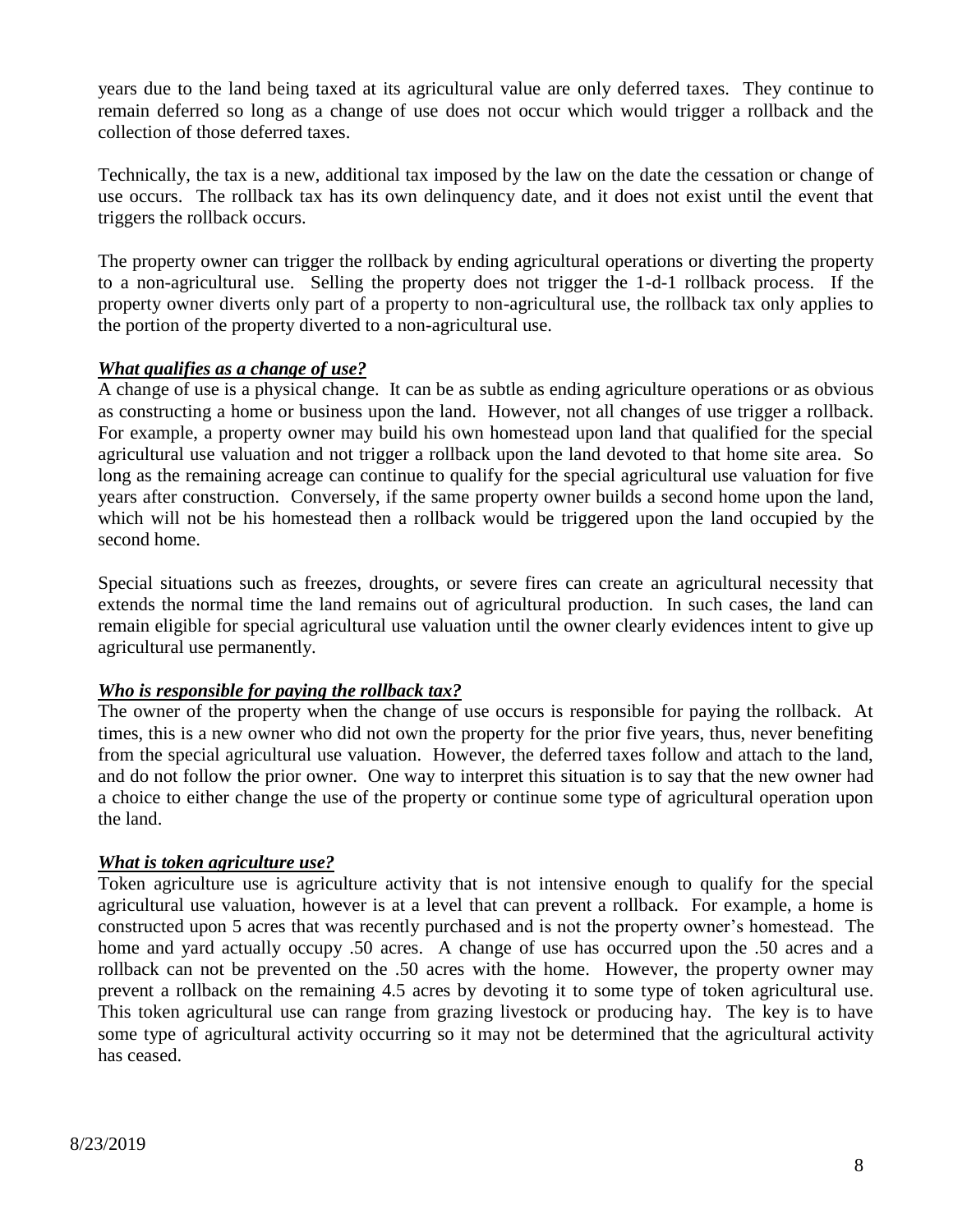years due to the land being taxed at its agricultural value are only deferred taxes. They continue to remain deferred so long as a change of use does not occur which would trigger a rollback and the collection of those deferred taxes.

Technically, the tax is a new, additional tax imposed by the law on the date the cessation or change of use occurs. The rollback tax has its own delinquency date, and it does not exist until the event that triggers the rollback occurs.

The property owner can trigger the rollback by ending agricultural operations or diverting the property to a non-agricultural use. Selling the property does not trigger the 1-d-1 rollback process. If the property owner diverts only part of a property to non-agricultural use, the rollback tax only applies to the portion of the property diverted to a non-agricultural use.

#### *What qualifies as a change of use?*

A change of use is a physical change. It can be as subtle as ending agriculture operations or as obvious as constructing a home or business upon the land. However, not all changes of use trigger a rollback. For example, a property owner may build his own homestead upon land that qualified for the special agricultural use valuation and not trigger a rollback upon the land devoted to that home site area. So long as the remaining acreage can continue to qualify for the special agricultural use valuation for five years after construction. Conversely, if the same property owner builds a second home upon the land, which will not be his homestead then a rollback would be triggered upon the land occupied by the second home.

Special situations such as freezes, droughts, or severe fires can create an agricultural necessity that extends the normal time the land remains out of agricultural production. In such cases, the land can remain eligible for special agricultural use valuation until the owner clearly evidences intent to give up agricultural use permanently.

#### *Who is responsible for paying the rollback tax?*

The owner of the property when the change of use occurs is responsible for paying the rollback. At times, this is a new owner who did not own the property for the prior five years, thus, never benefiting from the special agricultural use valuation. However, the deferred taxes follow and attach to the land, and do not follow the prior owner. One way to interpret this situation is to say that the new owner had a choice to either change the use of the property or continue some type of agricultural operation upon the land.

#### *What is token agriculture use?*

Token agriculture use is agriculture activity that is not intensive enough to qualify for the special agricultural use valuation, however is at a level that can prevent a rollback. For example, a home is constructed upon 5 acres that was recently purchased and is not the property owner's homestead. The home and yard actually occupy .50 acres. A change of use has occurred upon the .50 acres and a rollback can not be prevented on the .50 acres with the home. However, the property owner may prevent a rollback on the remaining 4.5 acres by devoting it to some type of token agricultural use. This token agricultural use can range from grazing livestock or producing hay. The key is to have some type of agricultural activity occurring so it may not be determined that the agricultural activity has ceased.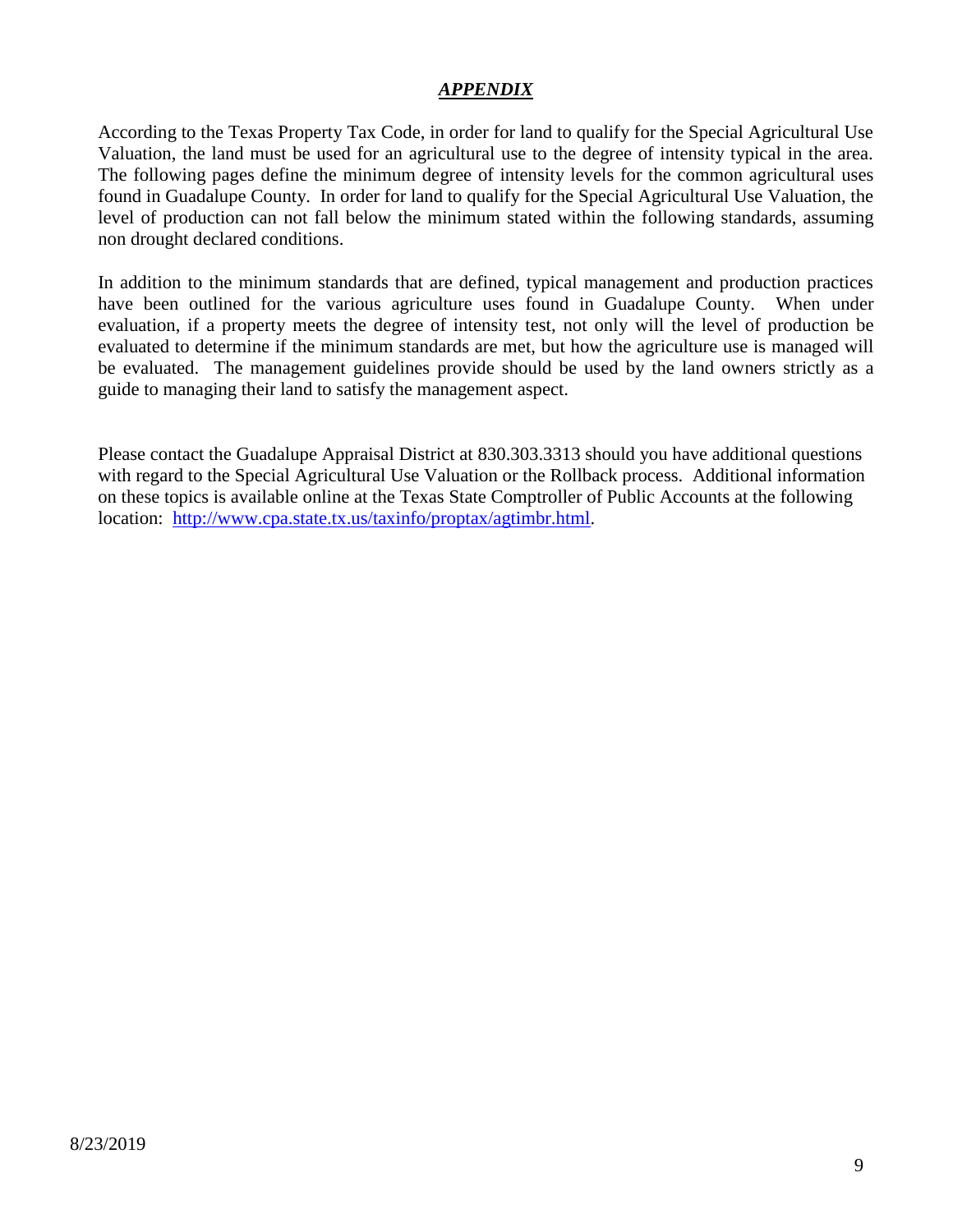#### *APPENDIX*

According to the Texas Property Tax Code, in order for land to qualify for the Special Agricultural Use Valuation, the land must be used for an agricultural use to the degree of intensity typical in the area. The following pages define the minimum degree of intensity levels for the common agricultural uses found in Guadalupe County. In order for land to qualify for the Special Agricultural Use Valuation, the level of production can not fall below the minimum stated within the following standards, assuming non drought declared conditions.

In addition to the minimum standards that are defined, typical management and production practices have been outlined for the various agriculture uses found in Guadalupe County. When under evaluation, if a property meets the degree of intensity test, not only will the level of production be evaluated to determine if the minimum standards are met, but how the agriculture use is managed will be evaluated. The management guidelines provide should be used by the land owners strictly as a guide to managing their land to satisfy the management aspect.

Please contact the Guadalupe Appraisal District at 830.303.3313 should you have additional questions with regard to the Special Agricultural Use Valuation or the Rollback process. Additional information on these topics is available online at the Texas State Comptroller of Public Accounts at the following location: [http://www.cpa.state.tx.us/taxinfo/proptax/agtimbr.html.](http://www.cpa.state.tx.us/taxinfo/proptax/agtimbr.html)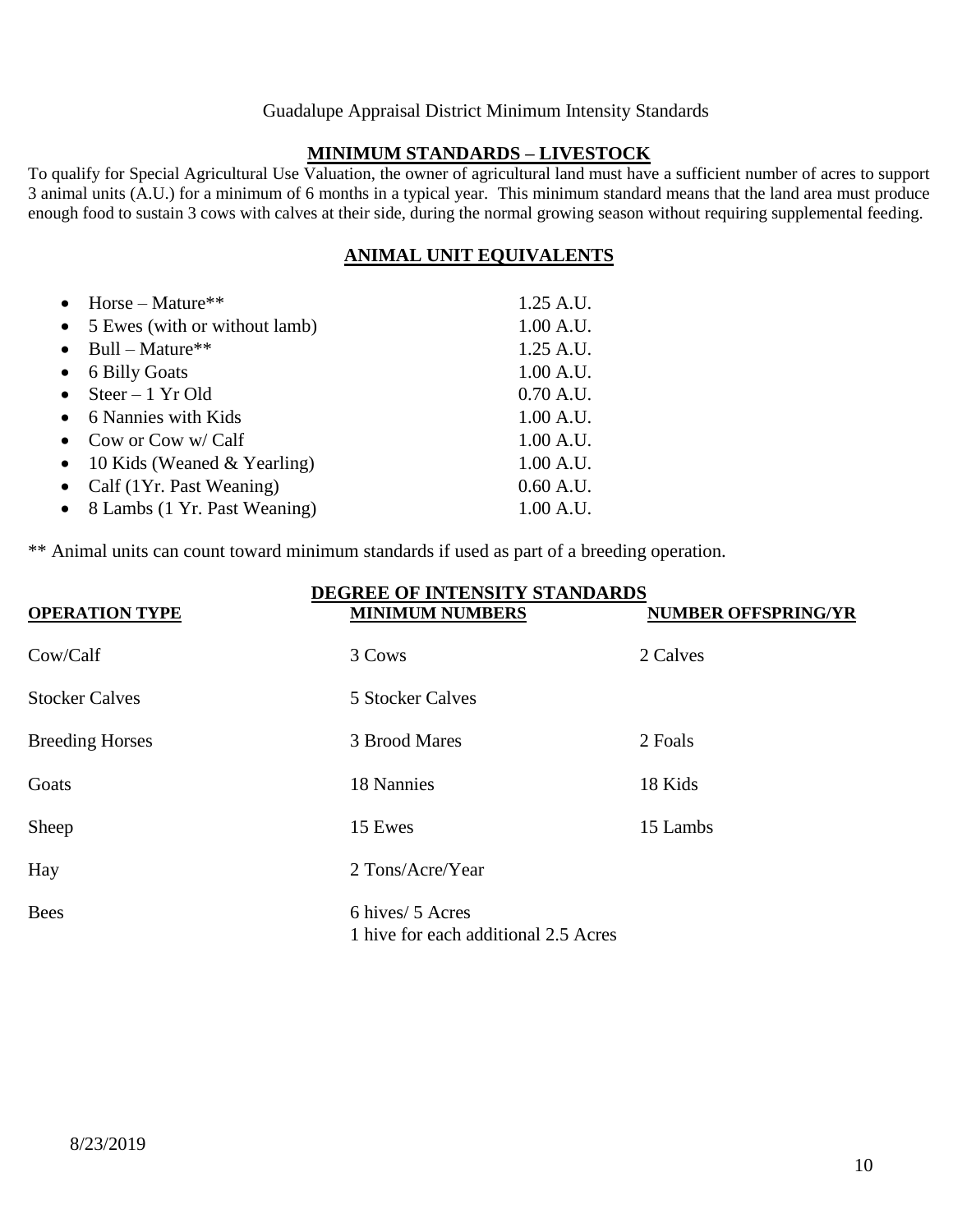#### Guadalupe Appraisal District Minimum Intensity Standards

#### **MINIMUM STANDARDS – LIVESTOCK**

To qualify for Special Agricultural Use Valuation, the owner of agricultural land must have a sufficient number of acres to support 3 animal units (A.U.) for a minimum of 6 months in a typical year. This minimum standard means that the land area must produce enough food to sustain 3 cows with calves at their side, during the normal growing season without requiring supplemental feeding.

#### **ANIMAL UNIT EQUIVALENTS**

| $Horse - Nature**$            | 1.25 A.U. |
|-------------------------------|-----------|
| 5 Ewes (with or without lamb) | 1.00 A.U. |
| $Bull - Mature**$             | 1.25 A.U. |
| 6 Billy Goats                 | 1.00 A.U. |
| $Steer - 1 Yr Old$            | 0.70 A.U. |
| 6 Nannies with Kids           | 1.00 A.U. |
| Cow or Cow w/ Calf            | 1.00 A.U. |
| 10 Kids (Weaned & Yearling)   | 1.00 A.U. |
| Calf (1Yr. Past Weaning)      | 0.60 A.U. |
| 8 Lambs (1 Yr. Past Weaning)  | 1.00 A.U. |

\*\* Animal units can count toward minimum standards if used as part of a breeding operation.

| <b>OPERATION TYPE</b>  | DEGREE OF INTENSITY STANDARDS<br><b>MINIMUM NUMBERS</b>  | <b>NUMBER OFFSPRING/YR</b> |
|------------------------|----------------------------------------------------------|----------------------------|
| Cow/Calf               | 3 Cows                                                   | 2 Calves                   |
| <b>Stocker Calves</b>  | 5 Stocker Calves                                         |                            |
| <b>Breeding Horses</b> | 3 Brood Mares                                            | 2 Foals                    |
| Goats                  | 18 Nannies                                               | 18 Kids                    |
| Sheep                  | 15 Ewes                                                  | 15 Lambs                   |
| Hay                    | 2 Tons/Acre/Year                                         |                            |
| <b>Bees</b>            | 6 hives/ 5 Acres<br>1 hive for each additional 2.5 Acres |                            |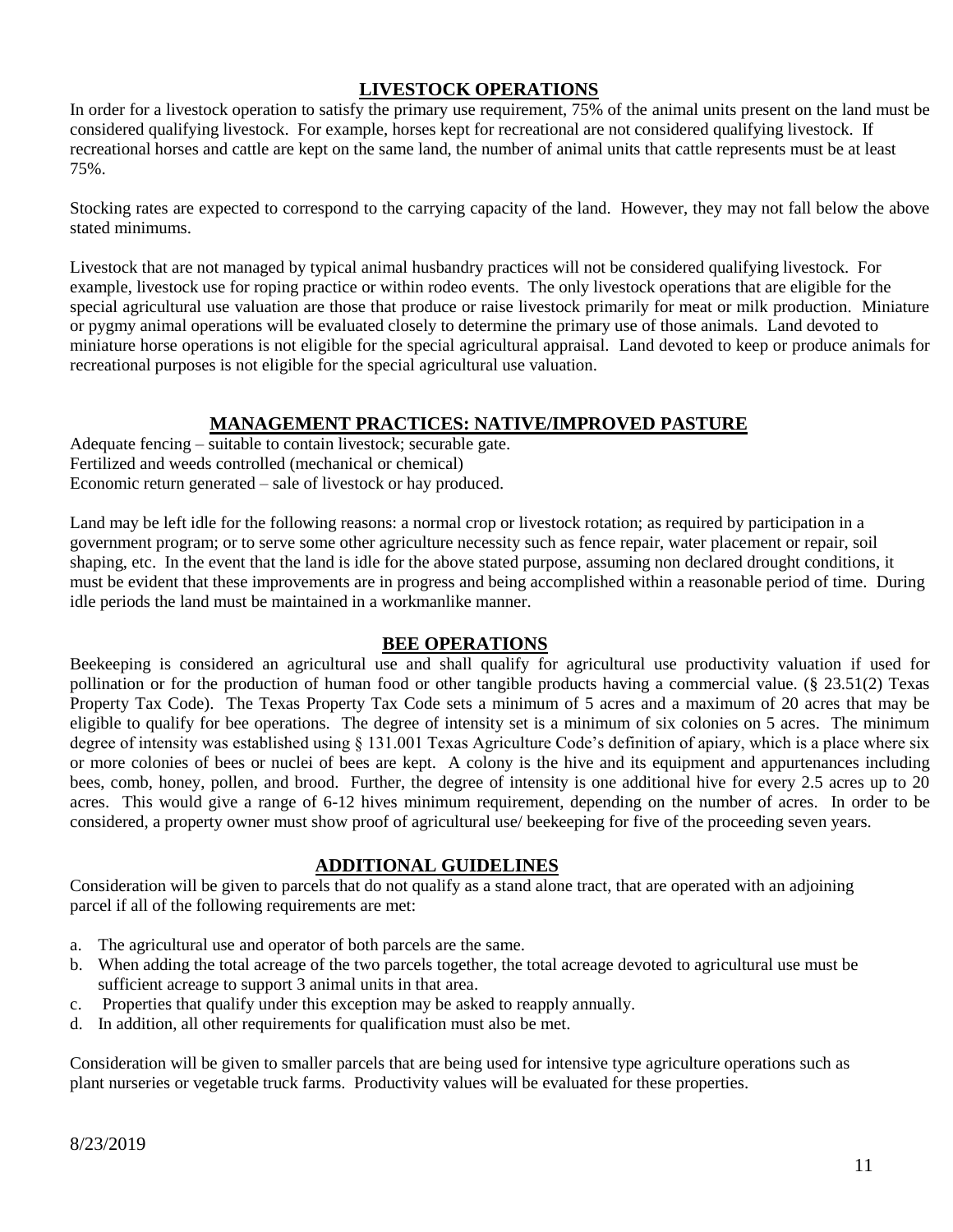#### **LIVESTOCK OPERATIONS**

In order for a livestock operation to satisfy the primary use requirement, 75% of the animal units present on the land must be considered qualifying livestock. For example, horses kept for recreational are not considered qualifying livestock. If recreational horses and cattle are kept on the same land, the number of animal units that cattle represents must be at least 75%.

Stocking rates are expected to correspond to the carrying capacity of the land. However, they may not fall below the above stated minimums.

Livestock that are not managed by typical animal husbandry practices will not be considered qualifying livestock. For example, livestock use for roping practice or within rodeo events. The only livestock operations that are eligible for the special agricultural use valuation are those that produce or raise livestock primarily for meat or milk production. Miniature or pygmy animal operations will be evaluated closely to determine the primary use of those animals. Land devoted to miniature horse operations is not eligible for the special agricultural appraisal. Land devoted to keep or produce animals for recreational purposes is not eligible for the special agricultural use valuation.

#### **MANAGEMENT PRACTICES: NATIVE/IMPROVED PASTURE**

Adequate fencing – suitable to contain livestock; securable gate. Fertilized and weeds controlled (mechanical or chemical) Economic return generated – sale of livestock or hay produced.

Land may be left idle for the following reasons: a normal crop or livestock rotation; as required by participation in a government program; or to serve some other agriculture necessity such as fence repair, water placement or repair, soil shaping, etc. In the event that the land is idle for the above stated purpose, assuming non declared drought conditions, it must be evident that these improvements are in progress and being accomplished within a reasonable period of time. During idle periods the land must be maintained in a workmanlike manner.

#### **BEE OPERATIONS**

Beekeeping is considered an agricultural use and shall qualify for agricultural use productivity valuation if used for pollination or for the production of human food or other tangible products having a commercial value. (§ 23.51(2) Texas Property Tax Code). The Texas Property Tax Code sets a minimum of 5 acres and a maximum of 20 acres that may be eligible to qualify for bee operations. The degree of intensity set is a minimum of six colonies on 5 acres. The minimum degree of intensity was established using § 131.001 Texas Agriculture Code's definition of apiary, which is a place where six or more colonies of bees or nuclei of bees are kept. A colony is the hive and its equipment and appurtenances including bees, comb, honey, pollen, and brood. Further, the degree of intensity is one additional hive for every 2.5 acres up to 20 acres. This would give a range of 6-12 hives minimum requirement, depending on the number of acres. In order to be considered, a property owner must show proof of agricultural use/ beekeeping for five of the proceeding seven years.

#### **ADDITIONAL GUIDELINES**

Consideration will be given to parcels that do not qualify as a stand alone tract, that are operated with an adjoining parcel if all of the following requirements are met:

- a. The agricultural use and operator of both parcels are the same.
- b. When adding the total acreage of the two parcels together, the total acreage devoted to agricultural use must be sufficient acreage to support 3 animal units in that area.
- c. Properties that qualify under this exception may be asked to reapply annually.
- d. In addition, all other requirements for qualification must also be met.

Consideration will be given to smaller parcels that are being used for intensive type agriculture operations such as plant nurseries or vegetable truck farms. Productivity values will be evaluated for these properties.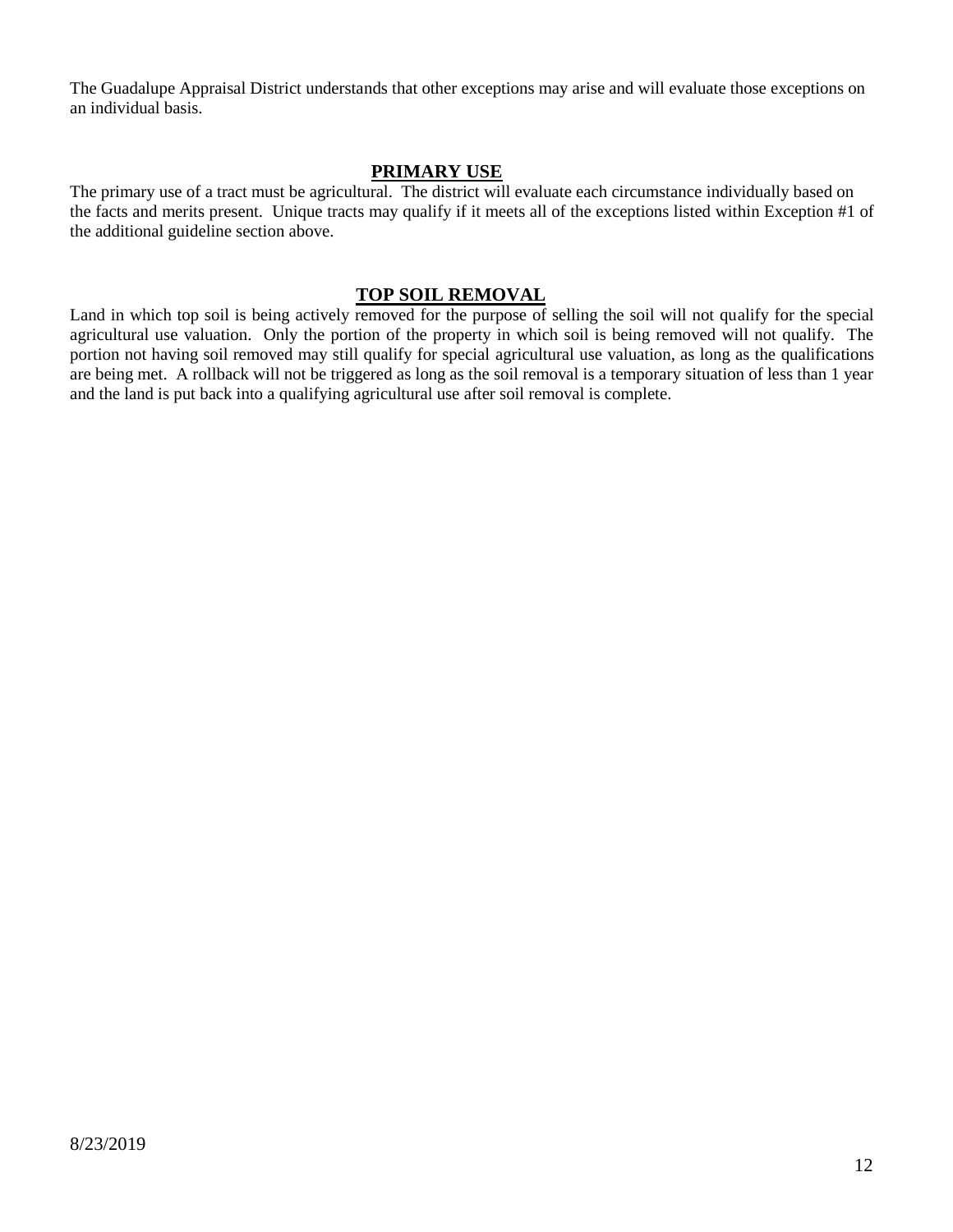The Guadalupe Appraisal District understands that other exceptions may arise and will evaluate those exceptions on an individual basis.

#### **PRIMARY USE**

The primary use of a tract must be agricultural. The district will evaluate each circumstance individually based on the facts and merits present. Unique tracts may qualify if it meets all of the exceptions listed within Exception #1 of the additional guideline section above.

#### **TOP SOIL REMOVAL**

Land in which top soil is being actively removed for the purpose of selling the soil will not qualify for the special agricultural use valuation. Only the portion of the property in which soil is being removed will not qualify. The portion not having soil removed may still qualify for special agricultural use valuation, as long as the qualifications are being met. A rollback will not be triggered as long as the soil removal is a temporary situation of less than 1 year and the land is put back into a qualifying agricultural use after soil removal is complete.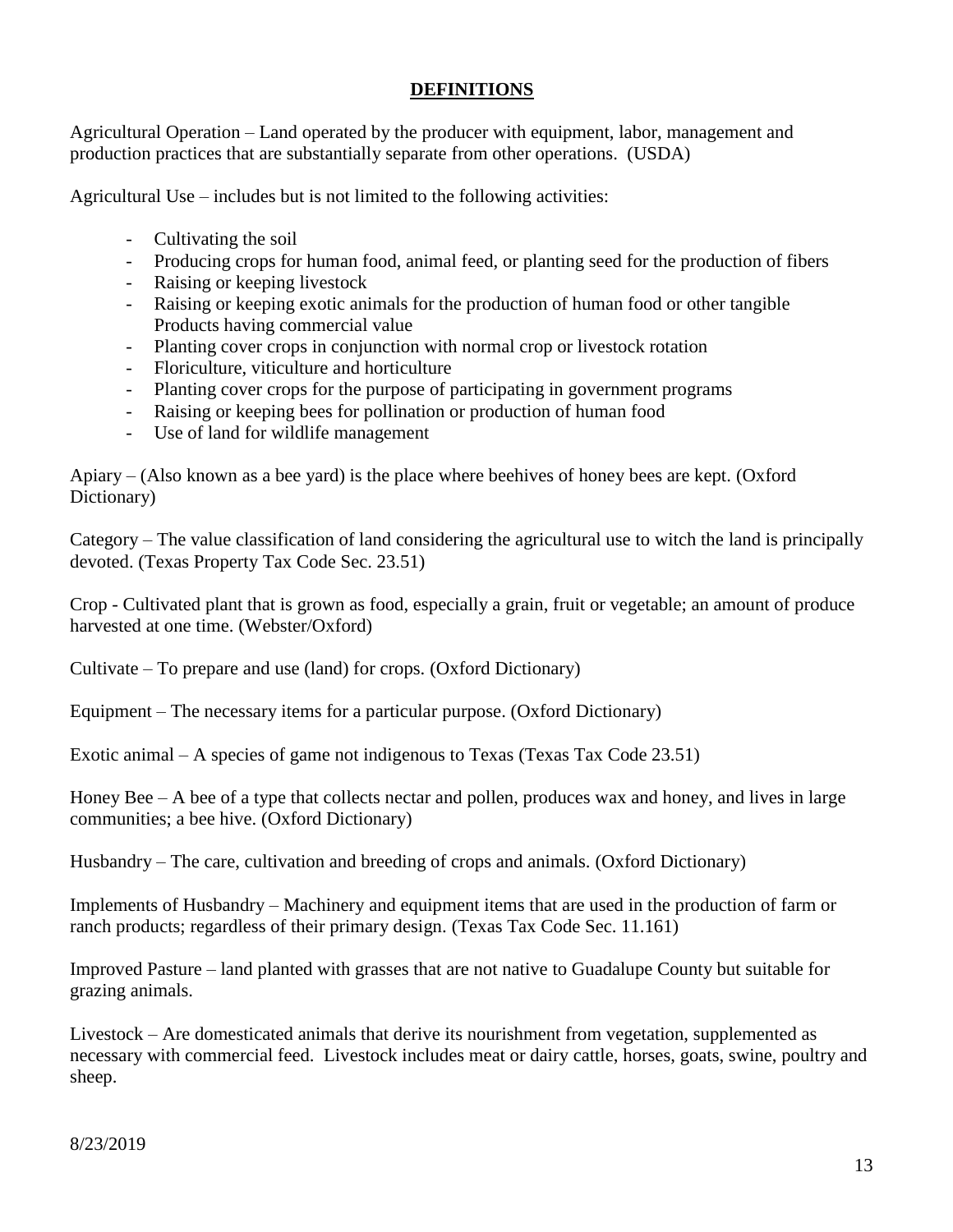### **DEFINITIONS**

Agricultural Operation – Land operated by the producer with equipment, labor, management and production practices that are substantially separate from other operations. (USDA)

Agricultural Use – includes but is not limited to the following activities:

- Cultivating the soil
- Producing crops for human food, animal feed, or planting seed for the production of fibers
- Raising or keeping livestock
- Raising or keeping exotic animals for the production of human food or other tangible Products having commercial value
- Planting cover crops in conjunction with normal crop or livestock rotation
- Floriculture, viticulture and horticulture
- Planting cover crops for the purpose of participating in government programs
- Raising or keeping bees for pollination or production of human food
- Use of land for wildlife management

Apiary – (Also known as a bee yard) is the place where beehives of honey bees are kept. (Oxford Dictionary)

Category – The value classification of land considering the agricultural use to witch the land is principally devoted. (Texas Property Tax Code Sec. 23.51)

Crop - Cultivated plant that is grown as food, especially a grain, fruit or vegetable; an amount of produce harvested at one time. (Webster/Oxford)

Cultivate – To prepare and use (land) for crops. (Oxford Dictionary)

Equipment – The necessary items for a particular purpose. (Oxford Dictionary)

Exotic animal – A species of game not indigenous to Texas (Texas Tax Code 23.51)

Honey Bee – A bee of a type that collects nectar and pollen, produces wax and honey, and lives in large communities; a bee hive. (Oxford Dictionary)

Husbandry – The care, cultivation and breeding of crops and animals. (Oxford Dictionary)

Implements of Husbandry – Machinery and equipment items that are used in the production of farm or ranch products; regardless of their primary design. (Texas Tax Code Sec. 11.161)

Improved Pasture – land planted with grasses that are not native to Guadalupe County but suitable for grazing animals.

Livestock – Are domesticated animals that derive its nourishment from vegetation, supplemented as necessary with commercial feed. Livestock includes meat or dairy cattle, horses, goats, swine, poultry and sheep.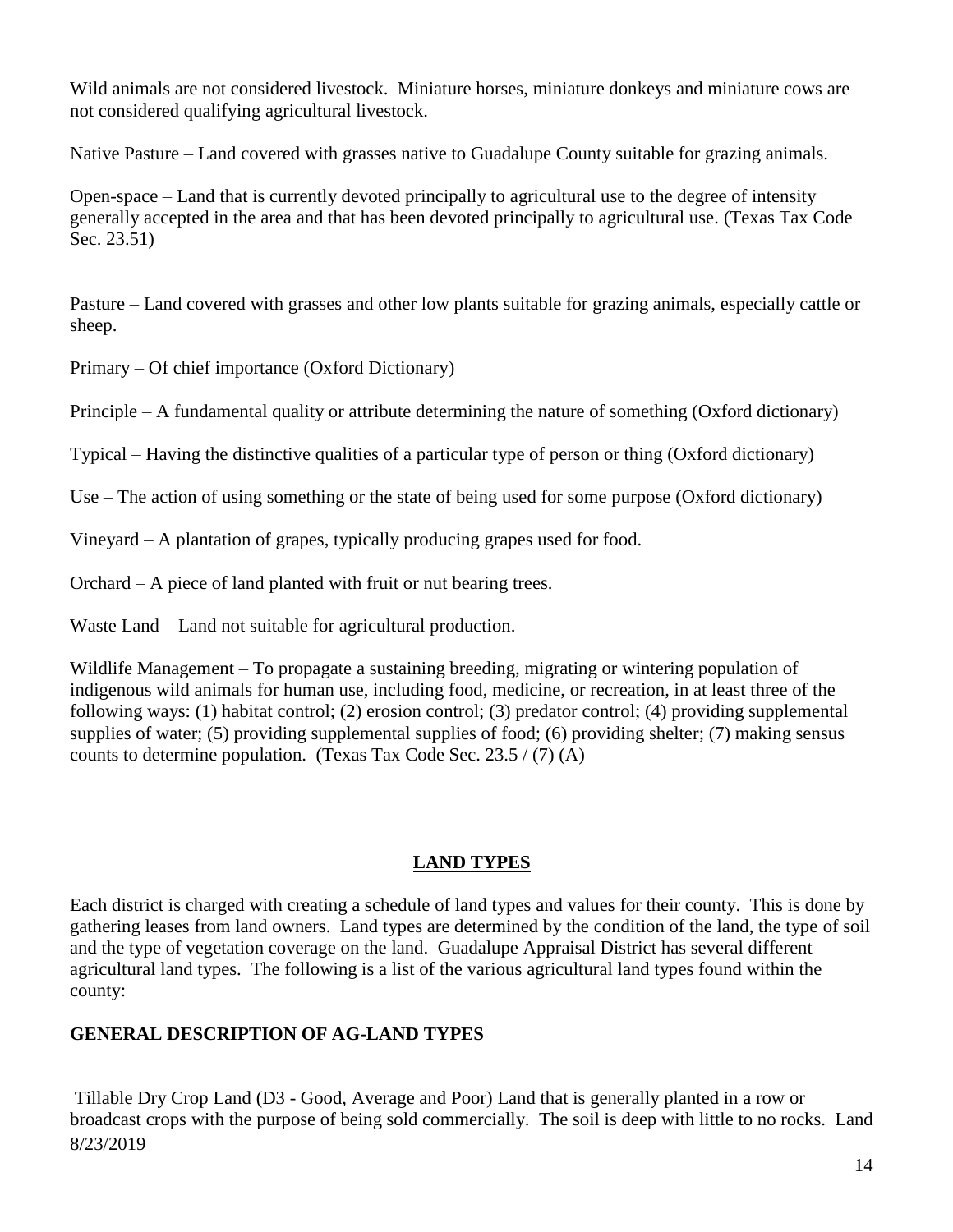Wild animals are not considered livestock. Miniature horses, miniature donkeys and miniature cows are not considered qualifying agricultural livestock.

Native Pasture – Land covered with grasses native to Guadalupe County suitable for grazing animals.

Open-space – Land that is currently devoted principally to agricultural use to the degree of intensity generally accepted in the area and that has been devoted principally to agricultural use. (Texas Tax Code Sec. 23.51)

Pasture – Land covered with grasses and other low plants suitable for grazing animals, especially cattle or sheep.

Primary – Of chief importance (Oxford Dictionary)

Principle – A fundamental quality or attribute determining the nature of something (Oxford dictionary)

Typical – Having the distinctive qualities of a particular type of person or thing (Oxford dictionary)

Use – The action of using something or the state of being used for some purpose (Oxford dictionary)

Vineyard – A plantation of grapes, typically producing grapes used for food.

Orchard – A piece of land planted with fruit or nut bearing trees.

Waste Land – Land not suitable for agricultural production.

Wildlife Management – To propagate a sustaining breeding, migrating or wintering population of indigenous wild animals for human use, including food, medicine, or recreation, in at least three of the following ways: (1) habitat control; (2) erosion control; (3) predator control; (4) providing supplemental supplies of water; (5) providing supplemental supplies of food; (6) providing shelter; (7) making sensus counts to determine population. (Texas Tax Code Sec.  $23.5 / (7)$  (A)

# **LAND TYPES**

Each district is charged with creating a schedule of land types and values for their county. This is done by gathering leases from land owners. Land types are determined by the condition of the land, the type of soil and the type of vegetation coverage on the land. Guadalupe Appraisal District has several different agricultural land types. The following is a list of the various agricultural land types found within the county:

# **GENERAL DESCRIPTION OF AG-LAND TYPES**

8/23/2019 Tillable Dry Crop Land (D3 - Good, Average and Poor) Land that is generally planted in a row or broadcast crops with the purpose of being sold commercially. The soil is deep with little to no rocks. Land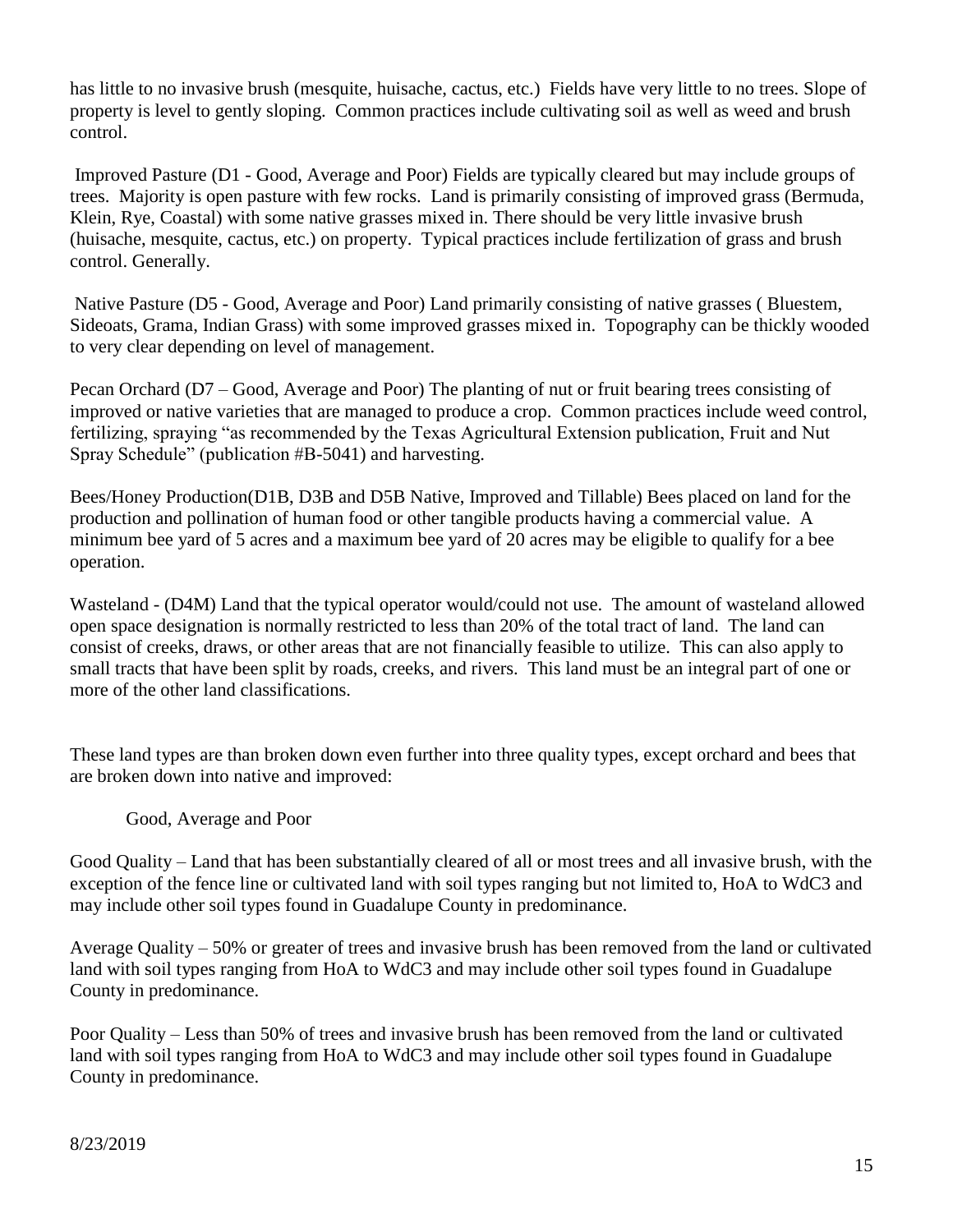has little to no invasive brush (mesquite, huisache, cactus, etc.) Fields have very little to no trees. Slope of property is level to gently sloping. Common practices include cultivating soil as well as weed and brush control.

Improved Pasture (D1 - Good, Average and Poor) Fields are typically cleared but may include groups of trees. Majority is open pasture with few rocks. Land is primarily consisting of improved grass (Bermuda, Klein, Rye, Coastal) with some native grasses mixed in. There should be very little invasive brush (huisache, mesquite, cactus, etc.) on property. Typical practices include fertilization of grass and brush control. Generally.

Native Pasture (D5 - Good, Average and Poor) Land primarily consisting of native grasses ( Bluestem, Sideoats, Grama, Indian Grass) with some improved grasses mixed in. Topography can be thickly wooded to very clear depending on level of management.

Pecan Orchard (D7 – Good, Average and Poor) The planting of nut or fruit bearing trees consisting of improved or native varieties that are managed to produce a crop. Common practices include weed control, fertilizing, spraying "as recommended by the Texas Agricultural Extension publication, Fruit and Nut Spray Schedule" (publication #B-5041) and harvesting.

Bees/Honey Production(D1B, D3B and D5B Native, Improved and Tillable) Bees placed on land for the production and pollination of human food or other tangible products having a commercial value. A minimum bee yard of 5 acres and a maximum bee yard of 20 acres may be eligible to qualify for a bee operation.

Wasteland - (D4M) Land that the typical operator would/could not use. The amount of wasteland allowed open space designation is normally restricted to less than 20% of the total tract of land. The land can consist of creeks, draws, or other areas that are not financially feasible to utilize. This can also apply to small tracts that have been split by roads, creeks, and rivers. This land must be an integral part of one or more of the other land classifications.

These land types are than broken down even further into three quality types, except orchard and bees that are broken down into native and improved:

Good, Average and Poor

Good Quality – Land that has been substantially cleared of all or most trees and all invasive brush, with the exception of the fence line or cultivated land with soil types ranging but not limited to, HoA to WdC3 and may include other soil types found in Guadalupe County in predominance.

Average Quality – 50% or greater of trees and invasive brush has been removed from the land or cultivated land with soil types ranging from HoA to WdC3 and may include other soil types found in Guadalupe County in predominance.

Poor Quality – Less than 50% of trees and invasive brush has been removed from the land or cultivated land with soil types ranging from HoA to WdC3 and may include other soil types found in Guadalupe County in predominance.